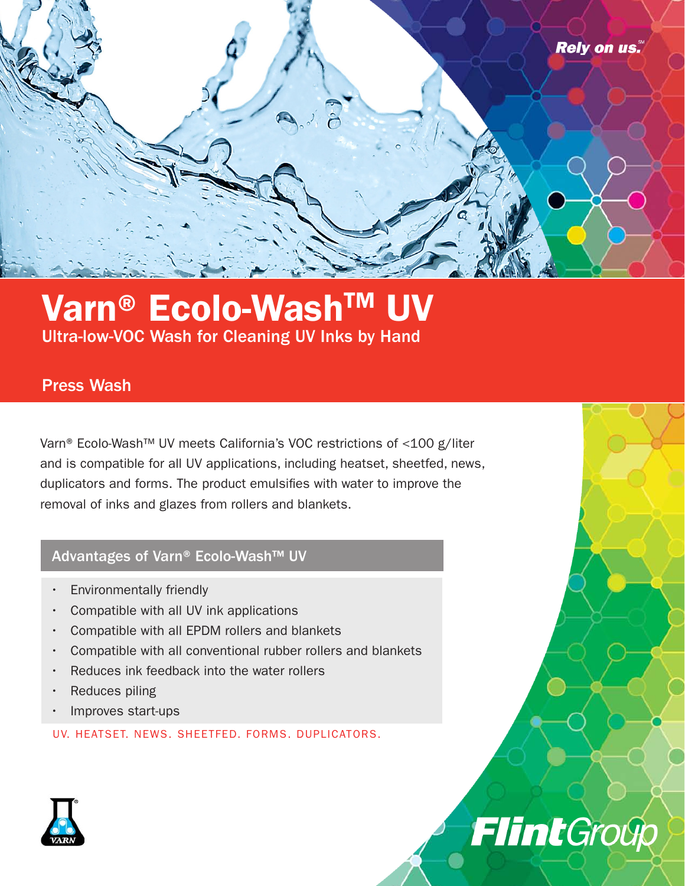

**Flint**Group

## Varn® Ecolo-Wash™ Ultra-low-VOC Wash for Cleaning UV Inks by Hand

### Press Wash

Varn® Ecolo-Wash™ UV meets California's VOC restrictions of <100 g/liter and is compatible for all UV applications, including heatset, sheetfed, news, duplicators and forms. The product emulsifies with water to improve the removal of inks and glazes from rollers and blankets.

#### Advantages of Varn® Ecolo-Wash™ UV

- Environmentally friendly
- Compatible with all UV ink applications
- Compatible with all EPDM rollers and blankets
- Compatible with all conventional rubber rollers and blankets
- Reduces ink feedback into the water rollers
- Reduces piling
- Improves start-ups

UV. HEATSET. NEWS. SHEETFED. FORMS. DUPLICATORS.